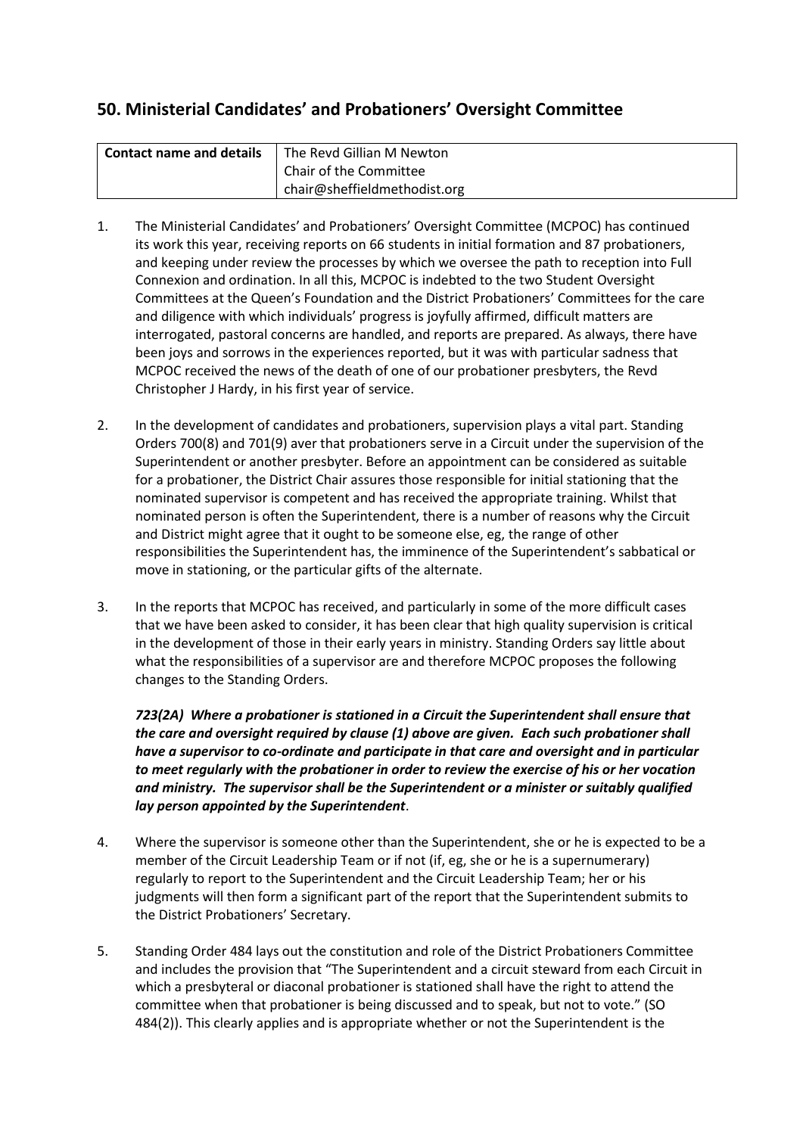# **50. Ministerial Candidates' and Probationers' Oversight Committee**

| Contact name and details | The Revd Gillian M Newton    |
|--------------------------|------------------------------|
|                          | Chair of the Committee       |
|                          | chair@sheffieldmethodist.org |

- 1. The Ministerial Candidates' and Probationers' Oversight Committee (MCPOC) has continued its work this year, receiving reports on 66 students in initial formation and 87 probationers, and keeping under review the processes by which we oversee the path to reception into Full Connexion and ordination. In all this, MCPOC is indebted to the two Student Oversight Committees at the Queen's Foundation and the District Probationers' Committees for the care and diligence with which individuals' progress is joyfully affirmed, difficult matters are interrogated, pastoral concerns are handled, and reports are prepared. As always, there have been joys and sorrows in the experiences reported, but it was with particular sadness that MCPOC received the news of the death of one of our probationer presbyters, the Revd Christopher J Hardy, in his first year of service.
- 2. In the development of candidates and probationers, supervision plays a vital part. Standing Orders 700(8) and 701(9) aver that probationers serve in a Circuit under the supervision of the Superintendent or another presbyter. Before an appointment can be considered as suitable for a probationer, the District Chair assures those responsible for initial stationing that the nominated supervisor is competent and has received the appropriate training. Whilst that nominated person is often the Superintendent, there is a number of reasons why the Circuit and District might agree that it ought to be someone else, eg, the range of other responsibilities the Superintendent has, the imminence of the Superintendent's sabbatical or move in stationing, or the particular gifts of the alternate.
- 3. In the reports that MCPOC has received, and particularly in some of the more difficult cases that we have been asked to consider, it has been clear that high quality supervision is critical in the development of those in their early years in ministry. Standing Orders say little about what the responsibilities of a supervisor are and therefore MCPOC proposes the following changes to the Standing Orders.

*723(2A) Where a probationer is stationed in a Circuit the Superintendent shall ensure that the care and oversight required by clause (1) above are given. Each such probationer shall have a supervisor to co-ordinate and participate in that care and oversight and in particular to meet regularly with the probationer in order to review the exercise of his or her vocation and ministry. The supervisor shall be the Superintendent or a minister or suitably qualified lay person appointed by the Superintendent*.

- 4. Where the supervisor is someone other than the Superintendent, she or he is expected to be a member of the Circuit Leadership Team or if not (if, eg, she or he is a supernumerary) regularly to report to the Superintendent and the Circuit Leadership Team; her or his judgments will then form a significant part of the report that the Superintendent submits to the District Probationers' Secretary.
- 5. Standing Order 484 lays out the constitution and role of the District Probationers Committee and includes the provision that "The Superintendent and a circuit steward from each Circuit in which a presbyteral or diaconal probationer is stationed shall have the right to attend the committee when that probationer is being discussed and to speak, but not to vote." (SO 484(2)). This clearly applies and is appropriate whether or not the Superintendent is the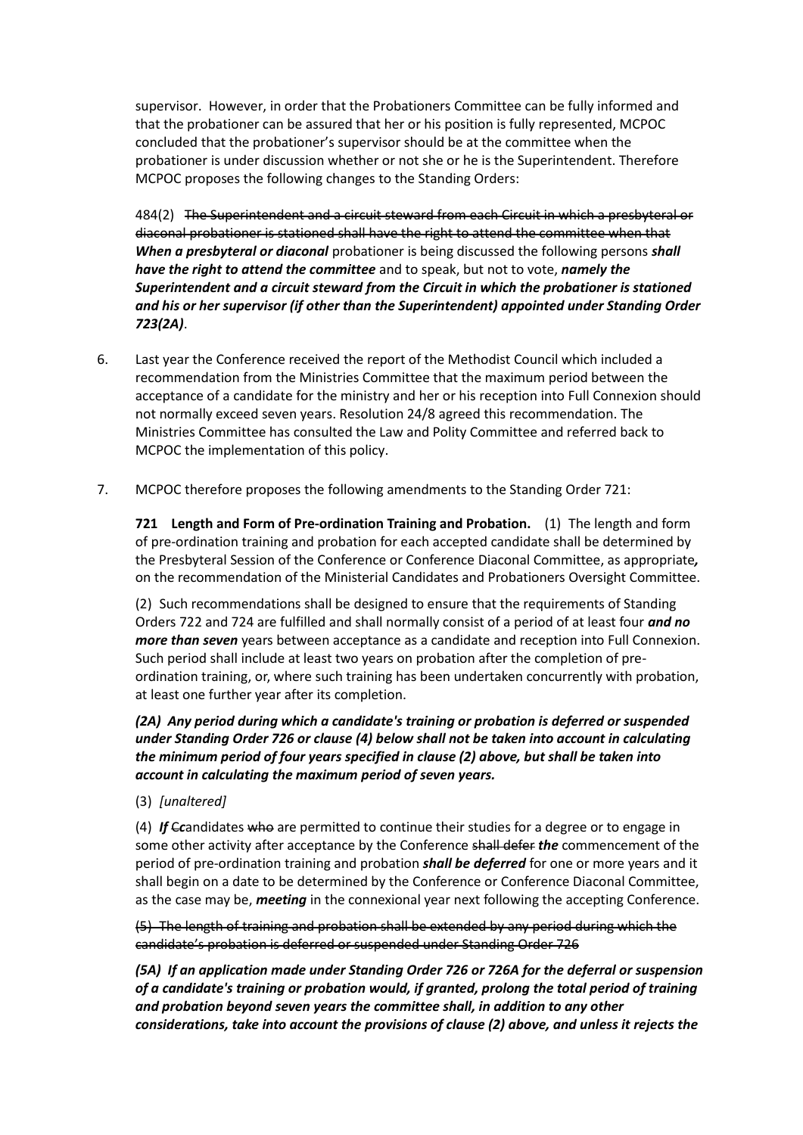supervisor. However, in order that the Probationers Committee can be fully informed and that the probationer can be assured that her or his position is fully represented, MCPOC concluded that the probationer's supervisor should be at the committee when the probationer is under discussion whether or not she or he is the Superintendent. Therefore MCPOC proposes the following changes to the Standing Orders:

484(2) The Superintendent and a circuit steward from each Circuit in which a presbyteral or diaconal probationer is stationed shall have the right to attend the committee when that *When a presbyteral or diaconal* probationer is being discussed the following persons *shall have the right to attend the committee* and to speak, but not to vote, *namely the Superintendent and a circuit steward from the Circuit in which the probationer is stationed and his or her supervisor (if other than the Superintendent) appointed under Standing Order 723(2A)*.

- 6. Last year the Conference received the report of the Methodist Council which included a recommendation from the Ministries Committee that the maximum period between the acceptance of a candidate for the ministry and her or his reception into Full Connexion should not normally exceed seven years. Resolution 24/8 agreed this recommendation. The Ministries Committee has consulted the Law and Polity Committee and referred back to MCPOC the implementation of this policy.
- 7. MCPOC therefore proposes the following amendments to the Standing Order 721:

**721 Length and Form of Pre-ordination Training and Probation.** (1) The length and form of pre-ordination training and probation for each accepted candidate shall be determined by the Presbyteral Session of the Conference or Conference Diaconal Committee, as appropriate*,* on the recommendation of the Ministerial Candidates and Probationers Oversight Committee.

(2) Such recommendations shall be designed to ensure that the requirements of Standing Orders 722 and 724 are fulfilled and shall normally consist of a period of at least four *and no more than seven* years between acceptance as a candidate and reception into Full Connexion. Such period shall include at least two years on probation after the completion of preordination training, or, where such training has been undertaken concurrently with probation, at least one further year after its completion.

## *(2A) Any period during which a candidate's training or probation is deferred or suspended under Standing Order 726 or clause (4) below shall not be taken into account in calculating the minimum period of four years specified in clause (2) above, but shall be taken into account in calculating the maximum period of seven years.*

(3) *[unaltered]*

(4) *If* C*c*andidates who are permitted to continue their studies for a degree or to engage in some other activity after acceptance by the Conference shall defer *the* commencement of the period of pre-ordination training and probation *shall be deferred* for one or more years and it shall begin on a date to be determined by the Conference or Conference Diaconal Committee, as the case may be, *meeting* in the connexional year next following the accepting Conference.

(5) The length of training and probation shall be extended by any period during which the candidate's probation is deferred or suspended under Standing Order 726

*(5A) If an application made under Standing Order 726 or 726A for the deferral or suspension of a candidate's training or probation would, if granted, prolong the total period of training and probation beyond seven years the committee shall, in addition to any other considerations, take into account the provisions of clause (2) above, and unless it rejects the*